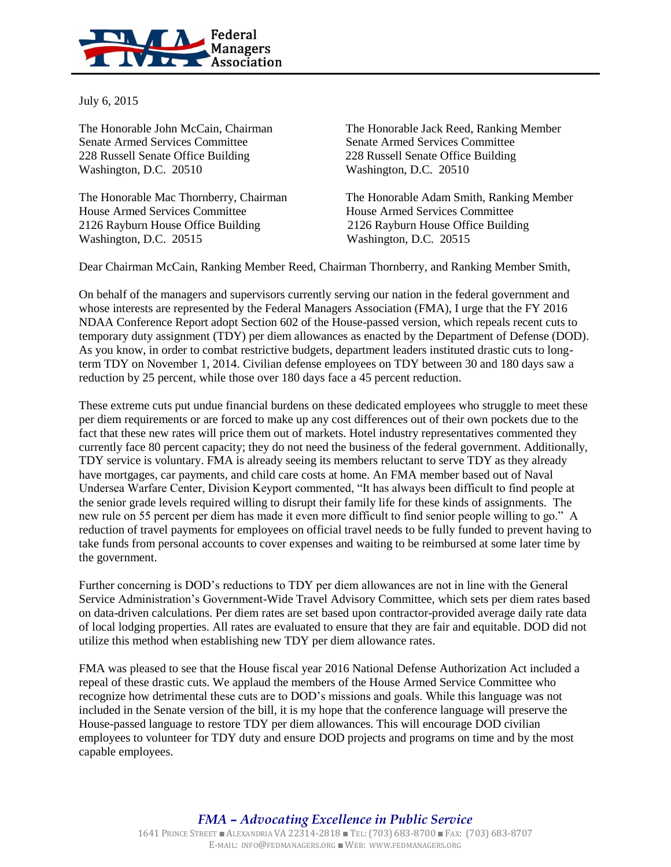

July 6, 2015

Senate Armed Services Committee Senate Armed Services Committee 228 Russell Senate Office Building 228 Russell Senate Office Building Washington, D.C. 20510 Washington, D.C. 20510

House Armed Services Committee House Armed Services Committee 2126 Rayburn House Office Building 2126 Rayburn House Office Building Washington, D.C. 20515 Washington, D.C. 20515

The Honorable John McCain, Chairman The Honorable Jack Reed, Ranking Member

The Honorable Mac Thornberry, Chairman The Honorable Adam Smith, Ranking Member

Dear Chairman McCain, Ranking Member Reed, Chairman Thornberry, and Ranking Member Smith,

On behalf of the managers and supervisors currently serving our nation in the federal government and whose interests are represented by the Federal Managers Association (FMA), I urge that the FY 2016 NDAA Conference Report adopt Section 602 of the House-passed version, which repeals recent cuts to temporary duty assignment (TDY) per diem allowances as enacted by the Department of Defense (DOD). As you know, in order to combat restrictive budgets, department leaders instituted drastic cuts to longterm TDY on November 1, 2014. Civilian defense employees on TDY between 30 and 180 days saw a reduction by 25 percent, while those over 180 days face a 45 percent reduction.

These extreme cuts put undue financial burdens on these dedicated employees who struggle to meet these per diem requirements or are forced to make up any cost differences out of their own pockets due to the fact that these new rates will price them out of markets. Hotel industry representatives commented they currently face 80 percent capacity; they do not need the business of the federal government. Additionally, TDY service is voluntary. FMA is already seeing its members reluctant to serve TDY as they already have mortgages, car payments, and child care costs at home. An FMA member based out of Naval Undersea Warfare Center, Division Keyport commented, "It has always been difficult to find people at the senior grade levels required willing to disrupt their family life for these kinds of assignments. The new rule on 55 percent per diem has made it even more difficult to find senior people willing to go." A reduction of travel payments for employees on official travel needs to be fully funded to prevent having to take funds from personal accounts to cover expenses and waiting to be reimbursed at some later time by the government.

Further concerning is DOD's reductions to TDY per diem allowances are not in line with the General Service Administration's Government-Wide Travel Advisory Committee, which sets per diem rates based on data-driven calculations. Per diem rates are set based upon contractor-provided average daily rate data of local lodging properties. All rates are evaluated to ensure that they are fair and equitable. DOD did not utilize this method when establishing new TDY per diem allowance rates.

FMA was pleased to see that the House fiscal year 2016 National Defense Authorization Act included a repeal of these drastic cuts. We applaud the members of the House Armed Service Committee who recognize how detrimental these cuts are to DOD's missions and goals. While this language was not included in the Senate version of the bill, it is my hope that the conference language will preserve the House-passed language to restore TDY per diem allowances. This will encourage DOD civilian employees to volunteer for TDY duty and ensure DOD projects and programs on time and by the most capable employees.